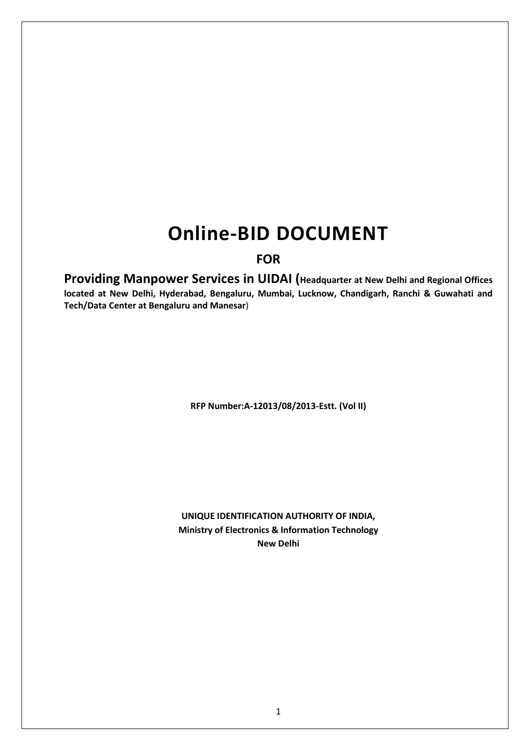# **Online-BID DOCUMENT**

# **FOR**

**Providing Manpower Services in UIDAI (Headquarter at New Delhi and Regional Offices located at New Delhi, Hyderabad, Bengaluru, Mumbai, Lucknow, Chandigarh, Ranchi & Guwahati and Tech/Data Center at Bengaluru and Manesar**)

**RFP Number:A-12013/08/2013-Estt. (Vol II)**

**UNIQUE IDENTIFICATION AUTHORITY OF INDIA, Ministry of Electronics & Information Technology New Delhi**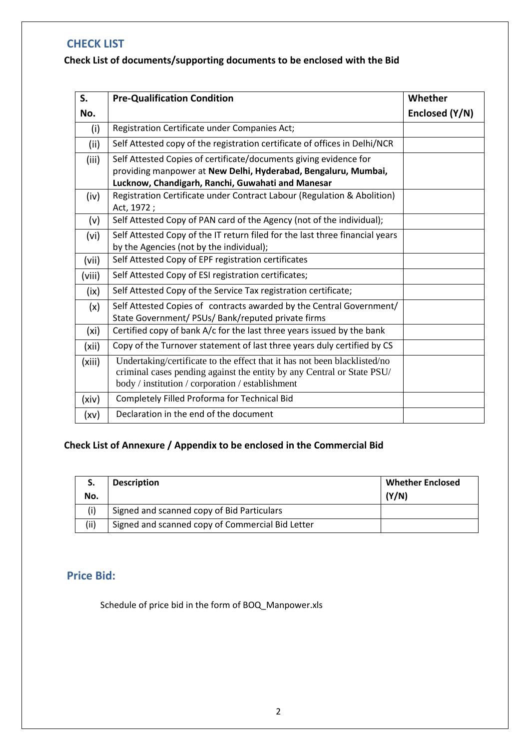# <span id="page-1-0"></span>**CHECK LIST**

# **Check List of documents/supporting documents to be enclosed with the Bid**

| S.     | <b>Pre-Qualification Condition</b>                                                                                                                                                                      | Whether        |
|--------|---------------------------------------------------------------------------------------------------------------------------------------------------------------------------------------------------------|----------------|
| No.    |                                                                                                                                                                                                         | Enclosed (Y/N) |
| (i)    | Registration Certificate under Companies Act;                                                                                                                                                           |                |
| (ii)   | Self Attested copy of the registration certificate of offices in Delhi/NCR                                                                                                                              |                |
| (iii)  | Self Attested Copies of certificate/documents giving evidence for<br>providing manpower at New Delhi, Hyderabad, Bengaluru, Mumbai,<br>Lucknow, Chandigarh, Ranchi, Guwahati and Manesar                |                |
| (iv)   | Registration Certificate under Contract Labour (Regulation & Abolition)<br>Act, 1972;                                                                                                                   |                |
| (v)    | Self Attested Copy of PAN card of the Agency (not of the individual);                                                                                                                                   |                |
| (vi)   | Self Attested Copy of the IT return filed for the last three financial years<br>by the Agencies (not by the individual);                                                                                |                |
| (vii)  | Self Attested Copy of EPF registration certificates                                                                                                                                                     |                |
| (viii) | Self Attested Copy of ESI registration certificates;                                                                                                                                                    |                |
| (ix)   | Self Attested Copy of the Service Tax registration certificate;                                                                                                                                         |                |
| (x)    | Self Attested Copies of contracts awarded by the Central Government/<br>State Government/ PSUs/ Bank/reputed private firms                                                                              |                |
| (xi)   | Certified copy of bank A/c for the last three years issued by the bank                                                                                                                                  |                |
| (xii)  | Copy of the Turnover statement of last three years duly certified by CS                                                                                                                                 |                |
| (xiii) | Undertaking/certificate to the effect that it has not been blacklisted/no<br>criminal cases pending against the entity by any Central or State PSU/<br>body / institution / corporation / establishment |                |
| (xiv)  | Completely Filled Proforma for Technical Bid                                                                                                                                                            |                |
| (xv)   | Declaration in the end of the document                                                                                                                                                                  |                |

# **Check List of Annexure / Appendix to be enclosed in the Commercial Bid**

| S.   | <b>Description</b>                               | <b>Whether Enclosed</b> |
|------|--------------------------------------------------|-------------------------|
| No.  |                                                  | (Y/N)                   |
|      | Signed and scanned copy of Bid Particulars       |                         |
| (ii) | Signed and scanned copy of Commercial Bid Letter |                         |

# <span id="page-1-1"></span>**Price Bid:**

Schedule of price bid in the form of BOQ\_Manpower.xls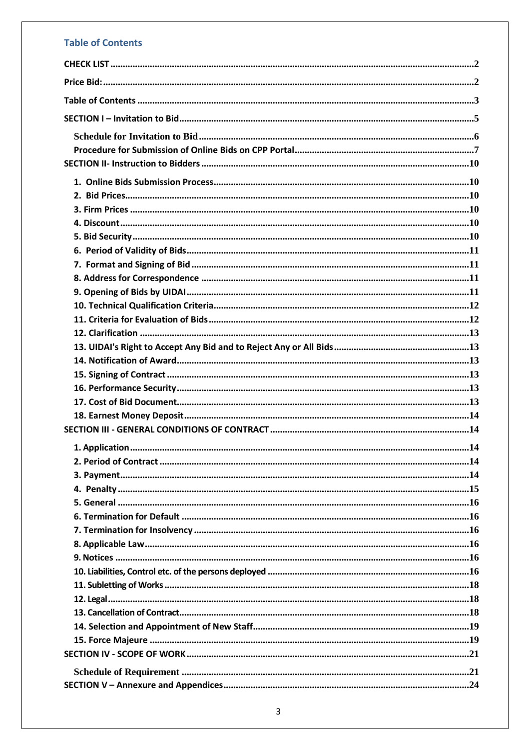# **Table of Contents**

<span id="page-2-0"></span>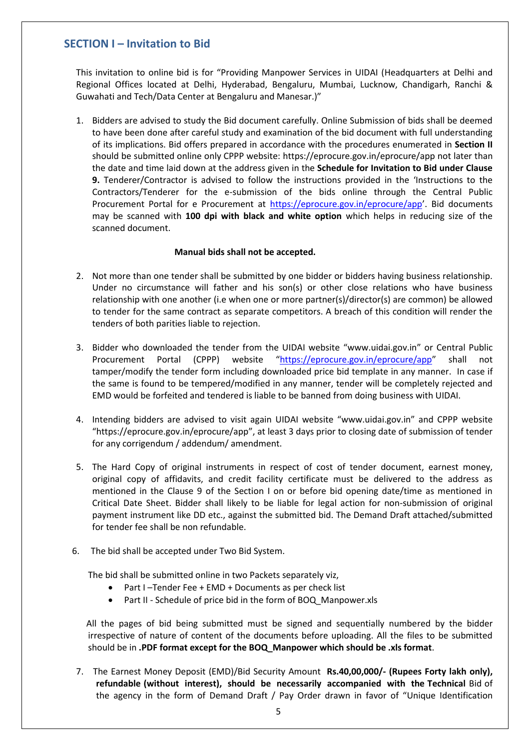# <span id="page-4-0"></span>**SECTION I – Invitation to Bid**

This invitation to online bid is for "Providing Manpower Services in UIDAI (Headquarters at Delhi and Regional Offices located at Delhi, Hyderabad, Bengaluru, Mumbai, Lucknow, Chandigarh, Ranchi & Guwahati and Tech/Data Center at Bengaluru and Manesar.)"

1. Bidders are advised to study the Bid document carefully. Online Submission of bids shall be deemed to have been done after careful study and examination of the bid document with full understanding of its implications. Bid offers prepared in accordance with the procedures enumerated in **Section II** should be submitted online only CPPP website:<https://eprocure.gov.in/eprocure/app> not later than the date and time laid down at the address given in the **Schedule for Invitation to Bid under Clause 9.** Tenderer/Contractor is advised to follow the instructions provided in the 'Instructions to the Contractors/Tenderer for the e-submission of the bids online through the Central Public Procurement Portal for e Procurement at<https://eprocure.gov.in/eprocure/app>'. Bid documents may be scanned with **100 dpi with black and white option** which helps in reducing size of the scanned document.

#### **Manual bids shall not be accepted.**

- 2. Not more than one tender shall be submitted by one bidder or bidders having business relationship. Under no circumstance will father and his son(s) or other close relations who have business relationship with one another (i.e when one or more partner(s)/director(s) are common) be allowed to tender for the same contract as separate competitors. A breach of this condition will render the tenders of both parities liable to rejection.
- 3. Bidder who downloaded the tender from the UIDAI website "www.uidai.gov.in" or Central Public Procurement Portal (CPPP) website "<https://eprocure.gov.in/eprocure/app>" shall not tamper/modify the tender form including downloaded price bid template in any manner. In case if the same is found to be tempered/modified in any manner, tender will be completely rejected and EMD would be forfeited and tendered is liable to be banned from doing business with UIDAI.
- 4. Intending bidders are advised to visit again UIDAI website "www.uidai.gov.in" and CPPP website "https://eprocure.gov.in/eprocure/app", at least 3 days prior to closing date of submission of tender for any corrigendum / addendum/ amendment.
- 5. The Hard Copy of original instruments in respect of cost of tender document, earnest money, original copy of affidavits, and credit facility certificate must be delivered to the address as mentioned in the Clause 9 of the Section I on or before bid opening date/time as mentioned in Critical Date Sheet. Bidder shall likely to be liable for legal action for non-submission of original payment instrument like DD etc., against the submitted bid. The Demand Draft attached/submitted for tender fee shall be non refundable.
- 6. The bid shall be accepted under Two Bid System.

The bid shall be submitted online in two Packets separately viz,

- Part I –Tender Fee + EMD + Documents as per check list
- Part II Schedule of price bid in the form of BOQ\_Manpower.xls

All the pages of bid being submitted must be signed and sequentially numbered by the bidder irrespective of nature of content of the documents before uploading. All the files to be submitted should be in **.PDF format except for the BOQ\_Manpower which should be .xls format**.

7. The Earnest Money Deposit (EMD)/Bid Security Amount **Rs.40,00,000/- (Rupees Forty lakh only), refundable (without interest), should be necessarily accompanied with the Technical** Bid of the agency in the form of Demand Draft / Pay Order drawn in favor of "Unique Identification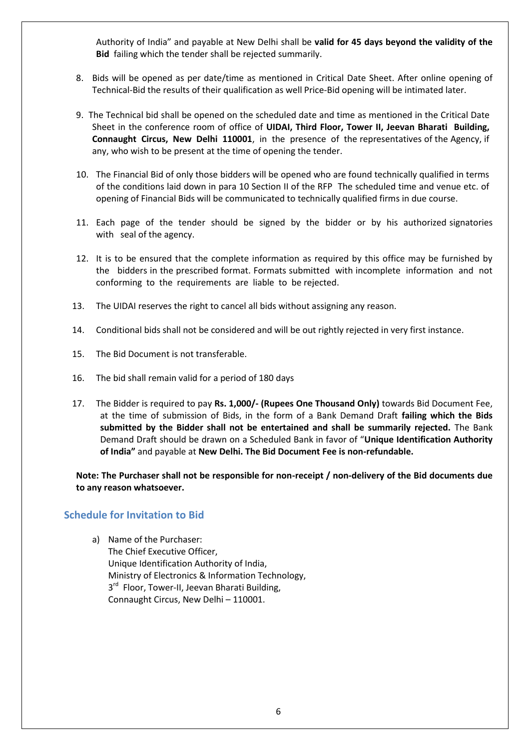Authority of India" and payable at New Delhi shall be **valid for 45 days beyond the validity of the Bid** failing which the tender shall be rejected summarily.

- 8. Bids will be opened as per date/time as mentioned in Critical Date Sheet. After online opening of Technical-Bid the results of their qualification as well Price-Bid opening will be intimated later.
- 9. The Technical bid shall be opened on the scheduled date and time as mentioned in the Critical Date Sheet in the conference room of office of **UIDAI, Third Floor, Tower II, Jeevan Bharati Building, Connaught Circus, New Delhi 110001**, in the presence of the representatives of the Agency, if any, who wish to be present at the time of opening the tender.
- 10. The Financial Bid of only those bidders will be opened who are found technically qualified in terms of the conditions laid down in para 10 Section II of the RFP The scheduled time and venue etc. of opening of Financial Bids will be communicated to technically qualified firms in due course.
- 11. Each page of the tender should be signed by the bidder or by his authorized signatories with seal of the agency.
- 12. It is to be ensured that the complete information as required by this office may be furnished by the bidders in the prescribed format. Formats submitted with incomplete information and not conforming to the requirements are liable to be rejected.
- 13. The UIDAI reserves the right to cancel all bids without assigning any reason.
- 14. Conditional bids shall not be considered and will be out rightly rejected in very first instance.
- 15. The Bid Document is not transferable.
- 16. The bid shall remain valid for a period of 180 days
- 17. The Bidder is required to pay **Rs. 1,000/- (Rupees One Thousand Only)** towards Bid Document Fee, at the time of submission of Bids, in the form of a Bank Demand Draft **failing which the Bids submitted by the Bidder shall not be entertained and shall be summarily rejected.** The Bank Demand Draft should be drawn on a Scheduled Bank in favor of "**Unique Identification Authority of India"** and payable at **New Delhi. The Bid Document Fee is non-refundable.**

**Note: The Purchaser shall not be responsible for non-receipt / non-delivery of the Bid documents due to any reason whatsoever.**

#### <span id="page-5-0"></span>**Schedule for Invitation to Bid**

- a) Name of the Purchaser:
	- The Chief Executive Officer, Unique Identification Authority of India, Ministry of Electronics & Information Technology, 3<sup>rd</sup> Floor, Tower-II, Jeevan Bharati Building, Connaught Circus, New Delhi – 110001.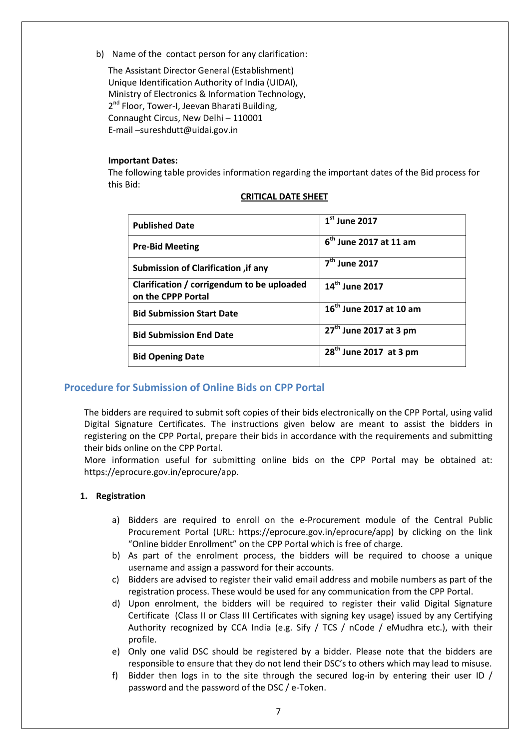b) Name of the contact person for any clarification:

The Assistant Director General (Establishment) Unique Identification Authority of India (UIDAI), Ministry of Electronics & Information Technology, 2<sup>nd</sup> Floor, Tower-I, Jeevan Bharati Building, Connaught Circus, New Delhi – 110001 E-mail –sureshdutt@uidai.gov.in

#### **Important Dates:**

The following table provides information regarding the important dates of the Bid process for this Bid:

| $1st$ June 2017                     |
|-------------------------------------|
| $6th$ June 2017 at 11 am            |
| $7th$ June 2017                     |
| 14 <sup>th</sup> June 2017          |
| 16 <sup>th</sup> June 2017 at 10 am |
| $27th$ June 2017 at 3 pm            |
| $28th$ June 2017 at 3 pm            |
|                                     |

#### **CRITICAL DATE SHEET**

### <span id="page-6-0"></span>**Procedure for Submission of Online Bids on CPP Portal**

The bidders are required to submit soft copies of their bids electronically on the CPP Portal, using valid Digital Signature Certificates. The instructions given below are meant to assist the bidders in registering on the CPP Portal, prepare their bids in accordance with the requirements and submitting their bids online on the CPP Portal.

More information useful for submitting online bids on the CPP Portal may be obtained at: https://eprocure.gov.in/eprocure/app.

#### **1. Registration**

- a) Bidders are required to enroll on the e-Procurement module of the Central Public Procurement Portal (URL: https://eprocure.gov.in/eprocure/app) by clicking on the link "Online bidder Enrollment" on the CPP Portal which is free of charge.
- b) As part of the enrolment process, the bidders will be required to choose a unique username and assign a password for their accounts.
- c) Bidders are advised to register their valid email address and mobile numbers as part of the registration process. These would be used for any communication from the CPP Portal.
- d) Upon enrolment, the bidders will be required to register their valid Digital Signature Certificate (Class II or Class III Certificates with signing key usage) issued by any Certifying Authority recognized by CCA India (e.g. Sify / TCS / nCode / eMudhra etc.), with their profile.
- e) Only one valid DSC should be registered by a bidder. Please note that the bidders are responsible to ensure that they do not lend their DSC's to others which may lead to misuse.
- f) Bidder then logs in to the site through the secured log-in by entering their user ID / password and the password of the DSC / e-Token.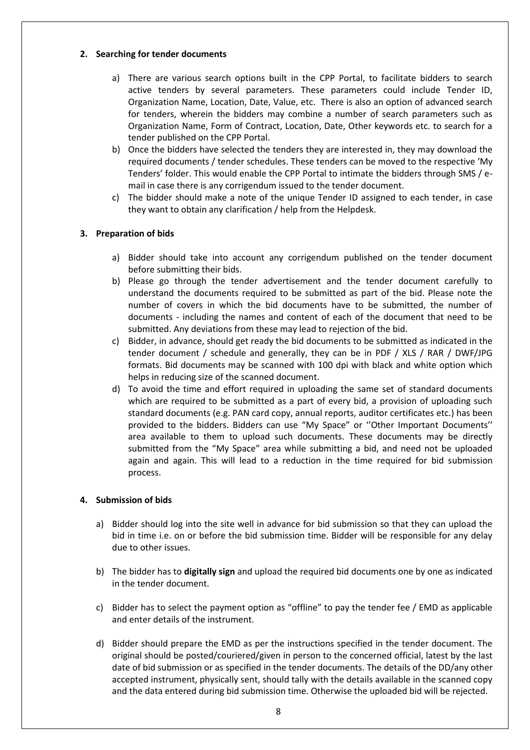#### **2. Searching for tender documents**

- a) There are various search options built in the CPP Portal, to facilitate bidders to search active tenders by several parameters. These parameters could include Tender ID, Organization Name, Location, Date, Value, etc. There is also an option of advanced search for tenders, wherein the bidders may combine a number of search parameters such as Organization Name, Form of Contract, Location, Date, Other keywords etc. to search for a tender published on the CPP Portal.
- b) Once the bidders have selected the tenders they are interested in, they may download the required documents / tender schedules. These tenders can be moved to the respective 'My Tenders' folder. This would enable the CPP Portal to intimate the bidders through SMS / email in case there is any corrigendum issued to the tender document.
- c) The bidder should make a note of the unique Tender ID assigned to each tender, in case they want to obtain any clarification / help from the Helpdesk.

#### **3. Preparation of bids**

- a) Bidder should take into account any corrigendum published on the tender document before submitting their bids.
- b) Please go through the tender advertisement and the tender document carefully to understand the documents required to be submitted as part of the bid. Please note the number of covers in which the bid documents have to be submitted, the number of documents - including the names and content of each of the document that need to be submitted. Any deviations from these may lead to rejection of the bid.
- c) Bidder, in advance, should get ready the bid documents to be submitted as indicated in the tender document / schedule and generally, they can be in PDF / XLS / RAR / DWF/JPG formats. Bid documents may be scanned with 100 dpi with black and white option which helps in reducing size of the scanned document.
- d) To avoid the time and effort required in uploading the same set of standard documents which are required to be submitted as a part of every bid, a provision of uploading such standard documents (e.g. PAN card copy, annual reports, auditor certificates etc.) has been provided to the bidders. Bidders can use "My Space" or ''Other Important Documents'' area available to them to upload such documents. These documents may be directly submitted from the "My Space" area while submitting a bid, and need not be uploaded again and again. This will lead to a reduction in the time required for bid submission process.

#### **4. Submission of bids**

- a) Bidder should log into the site well in advance for bid submission so that they can upload the bid in time i.e. on or before the bid submission time. Bidder will be responsible for any delay due to other issues.
- b) The bidder has to **digitally sign** and upload the required bid documents one by one as indicated in the tender document.
- c) Bidder has to select the payment option as "offline" to pay the tender fee / EMD as applicable and enter details of the instrument.
- d) Bidder should prepare the EMD as per the instructions specified in the tender document. The original should be posted/couriered/given in person to the concerned official, latest by the last date of bid submission or as specified in the tender documents. The details of the DD/any other accepted instrument, physically sent, should tally with the details available in the scanned copy and the data entered during bid submission time. Otherwise the uploaded bid will be rejected.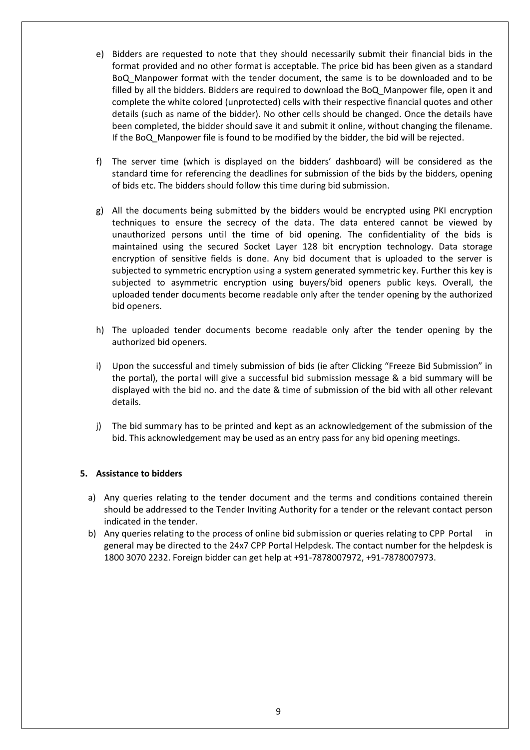- e) Bidders are requested to note that they should necessarily submit their financial bids in the format provided and no other format is acceptable. The price bid has been given as a standard BoQ\_Manpower format with the tender document, the same is to be downloaded and to be filled by all the bidders. Bidders are required to download the BoQ\_Manpower file, open it and complete the white colored (unprotected) cells with their respective financial quotes and other details (such as name of the bidder). No other cells should be changed. Once the details have been completed, the bidder should save it and submit it online, without changing the filename. If the BoQ\_Manpower file is found to be modified by the bidder, the bid will be rejected.
- f) The server time (which is displayed on the bidders' dashboard) will be considered as the standard time for referencing the deadlines for submission of the bids by the bidders, opening of bids etc. The bidders should follow this time during bid submission.
- g) All the documents being submitted by the bidders would be encrypted using PKI encryption techniques to ensure the secrecy of the data. The data entered cannot be viewed by unauthorized persons until the time of bid opening. The confidentiality of the bids is maintained using the secured Socket Layer 128 bit encryption technology. Data storage encryption of sensitive fields is done. Any bid document that is uploaded to the server is subjected to symmetric encryption using a system generated symmetric key. Further this key is subjected to asymmetric encryption using buyers/bid openers public keys. Overall, the uploaded tender documents become readable only after the tender opening by the authorized bid openers.
- h) The uploaded tender documents become readable only after the tender opening by the authorized bid openers.
- i) Upon the successful and timely submission of bids (ie after Clicking "Freeze Bid Submission" in the portal), the portal will give a successful bid submission message & a bid summary will be displayed with the bid no. and the date & time of submission of the bid with all other relevant details.
- j) The bid summary has to be printed and kept as an acknowledgement of the submission of the bid. This acknowledgement may be used as an entry pass for any bid opening meetings.

#### **5. Assistance to bidders**

- a) Any queries relating to the tender document and the terms and conditions contained therein should be addressed to the Tender Inviting Authority for a tender or the relevant contact person indicated in the tender.
- b) Any queries relating to the process of online bid submission or queries relating to CPP Portal in general may be directed to the 24x7 CPP Portal Helpdesk. The contact number for the helpdesk is 1800 3070 2232. Foreign bidder can get help at +91-7878007972, +91-7878007973.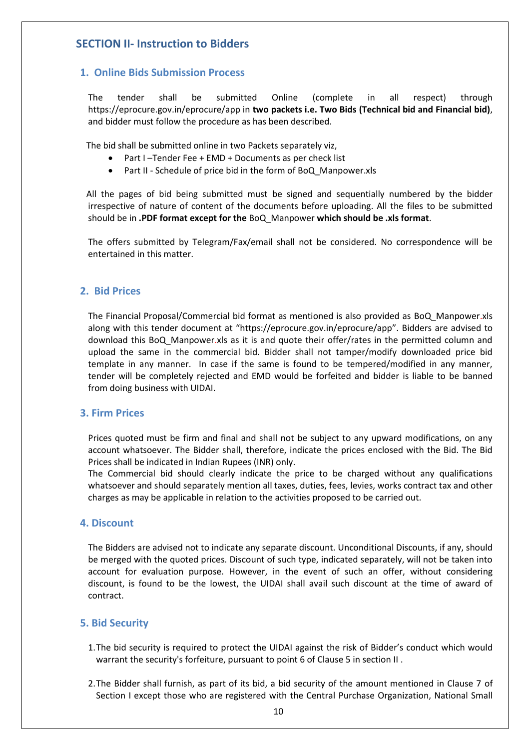# <span id="page-9-0"></span>**SECTION II- Instruction to Bidders**

#### <span id="page-9-1"></span>**1. Online Bids Submission Process**

The tender shall be submitted Online (complete in all respect) through https://eprocure.gov.in/eprocure/app in **two packets i.e. Two Bids (Technical bid and Financial bid)**, and bidder must follow the procedure as has been described.

The bid shall be submitted online in two Packets separately viz,

- Part I –Tender Fee + EMD + Documents as per check list
- Part II Schedule of price bid in the form of BoQ\_Manpower.xls

All the pages of bid being submitted must be signed and sequentially numbered by the bidder irrespective of nature of content of the documents before uploading. All the files to be submitted should be in **.PDF format except for the** BoQ\_Manpower **which should be .xls format**.

The offers submitted by Telegram/Fax/email shall not be considered. No correspondence will be entertained in this matter.

#### <span id="page-9-2"></span>**2. Bid Prices**

The Financial Proposal/Commercial bid format as mentioned is also provided as BoQ\_Manpower.xls along with this tender document at "https://eprocure.gov.in/eprocure/app". Bidders are advised to download this BoQ\_Manpower.xls as it is and quote their offer/rates in the permitted column and upload the same in the commercial bid. Bidder shall not tamper/modify downloaded price bid template in any manner. In case if the same is found to be tempered/modified in any manner, tender will be completely rejected and EMD would be forfeited and bidder is liable to be banned from doing business with UIDAI.

#### <span id="page-9-3"></span>**3. Firm Prices**

Prices quoted must be firm and final and shall not be subject to any upward modifications, on any account whatsoever. The Bidder shall, therefore, indicate the prices enclosed with the Bid. The Bid Prices shall be indicated in Indian Rupees (INR) only.

The Commercial bid should clearly indicate the price to be charged without any qualifications whatsoever and should separately mention all taxes, duties, fees, levies, works contract tax and other charges as may be applicable in relation to the activities proposed to be carried out.

#### <span id="page-9-4"></span>**4. Discount**

The Bidders are advised not to indicate any separate discount. Unconditional Discounts, if any, should be merged with the quoted prices. Discount of such type, indicated separately, will not be taken into account for evaluation purpose. However, in the event of such an offer, without considering discount, is found to be the lowest, the UIDAI shall avail such discount at the time of award of contract.

#### <span id="page-9-5"></span>**5. Bid Security**

- 1.The bid security is required to protect the UIDAI against the risk of Bidder's conduct which would warrant the security's forfeiture, pursuant to point 6 of Clause 5 in section II .
- 2.The Bidder shall furnish, as part of its bid, a bid security of the amount mentioned in Clause 7 of Section I except those who are registered with the Central Purchase Organization, National Small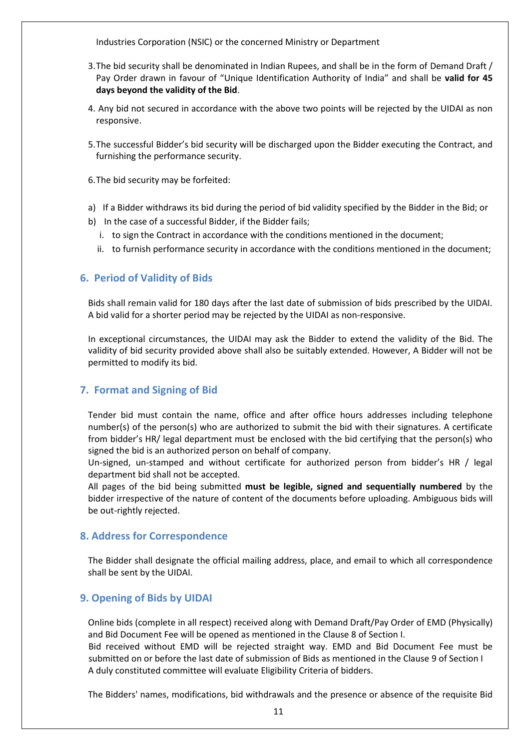Industries Corporation (NSIC) or the concerned Ministry or Department

- 3.The bid security shall be denominated in Indian Rupees, and shall be in the form of Demand Draft / Pay Order drawn in favour of "Unique Identification Authority of India" and shall be **valid for 45 days beyond the validity of the Bid**.
- 4. Any bid not secured in accordance with the above two points will be rejected by the UIDAI as non responsive.
- 5.The successful Bidder's bid security will be discharged upon the Bidder executing the Contract, and furnishing the performance security.
- 6.The bid security may be forfeited:
- a) If a Bidder withdraws its bid during the period of bid validity specified by the Bidder in the Bid; or
- b) In the case of a successful Bidder, if the Bidder fails;
	- i. to sign the Contract in accordance with the conditions mentioned in the document;
	- ii. to furnish performance security in accordance with the conditions mentioned in the document;

### <span id="page-10-0"></span>**6. Period of Validity of Bids**

Bids shall remain valid for 180 days after the last date of submission of bids prescribed by the UIDAI. A bid valid for a shorter period may be rejected by the UIDAI as non-responsive.

In exceptional circumstances, the UIDAI may ask the Bidder to extend the validity of the Bid. The validity of bid security provided above shall also be suitably extended. However, A Bidder will not be permitted to modify its bid.

#### <span id="page-10-1"></span>**7. Format and Signing of Bid**

Tender bid must contain the name, office and after office hours addresses including telephone number(s) of the person(s) who are authorized to submit the bid with their signatures. A certificate from bidder's HR/ legal department must be enclosed with the bid certifying that the person(s) who signed the bid is an authorized person on behalf of company.

Un-signed, un-stamped and without certificate for authorized person from bidder's HR / legal department bid shall not be accepted.

All pages of the bid being submitted **must be legible, signed and sequentially numbered** by the bidder irrespective of the nature of content of the documents before uploading. Ambiguous bids will be out-rightly rejected.

#### <span id="page-10-2"></span>**8. Address for Correspondence**

The Bidder shall designate the official mailing address, place, and email to which all correspondence shall be sent by the UIDAI.

#### <span id="page-10-3"></span>**9. Opening of Bids by UIDAI**

Online bids (complete in all respect) received along with Demand Draft/Pay Order of EMD (Physically) and Bid Document Fee will be opened as mentioned in the Clause 8 of Section I.

Bid received without EMD will be rejected straight way. EMD and Bid Document Fee must be submitted on or before the last date of submission of Bids as mentioned in the Clause 9 of Section I A duly constituted committee will evaluate Eligibility Criteria of bidders.

The Bidders' names, modifications, bid withdrawals and the presence or absence of the requisite Bid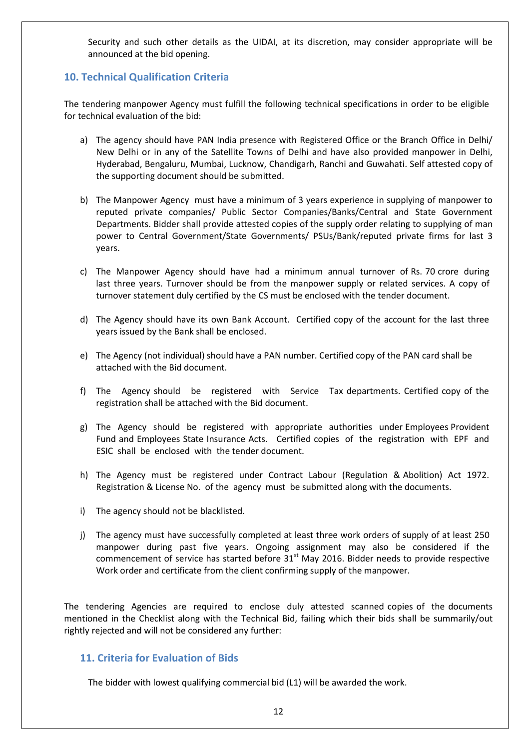Security and such other details as the UIDAI, at its discretion, may consider appropriate will be announced at the bid opening.

#### <span id="page-11-0"></span>**10. Technical Qualification Criteria**

The tendering manpower Agency must fulfill the following technical specifications in order to be eligible for technical evaluation of the bid:

- a) The agency should have PAN India presence with Registered Office or the Branch Office in Delhi/ New Delhi or in any of the Satellite Towns of Delhi and have also provided manpower in Delhi, Hyderabad, Bengaluru, Mumbai, Lucknow, Chandigarh, Ranchi and Guwahati. Self attested copy of the supporting document should be submitted.
- b) The Manpower Agency must have a minimum of 3 years experience in supplying of manpower to reputed private companies/ Public Sector Companies/Banks/Central and State Government Departments. Bidder shall provide attested copies of the supply order relating to supplying of man power to Central Government/State Governments/ PSUs/Bank/reputed private firms for last 3 years.
- c) The Manpower Agency should have had a minimum annual turnover of Rs. 70 crore during last three years. Turnover should be from the manpower supply or related services. A copy of turnover statement duly certified by the CS must be enclosed with the tender document.
- d) The Agency should have its own Bank Account. Certified copy of the account for the last three years issued by the Bank shall be enclosed.
- e) The Agency (not individual) should have a PAN number. Certified copy of the PAN card shall be attached with the Bid document.
- f) The Agency should be registered with Service Tax departments. Certified copy of the registration shall be attached with the Bid document.
- g) The Agency should be registered with appropriate authorities under Employees Provident Fund and Employees State Insurance Acts. Certified copies of the registration with EPF and ESIC shall be enclosed with the tender document.
- h) The Agency must be registered under Contract Labour (Regulation & Abolition) Act 1972. Registration & License No. of the agency must be submitted along with the documents.
- i) The agency should not be blacklisted.
- j) The agency must have successfully completed at least three work orders of supply of at least 250 manpower during past five years. Ongoing assignment may also be considered if the commencement of service has started before  $31<sup>st</sup>$  May 2016. Bidder needs to provide respective Work order and certificate from the client confirming supply of the manpower.

The tendering Agencies are required to enclose duly attested scanned copies of the documents mentioned in the Checklist along with the Technical Bid, failing which their bids shall be summarily/out rightly rejected and will not be considered any further:

#### <span id="page-11-1"></span>**11. Criteria for Evaluation of Bids**

The bidder with lowest qualifying commercial bid (L1) will be awarded the work.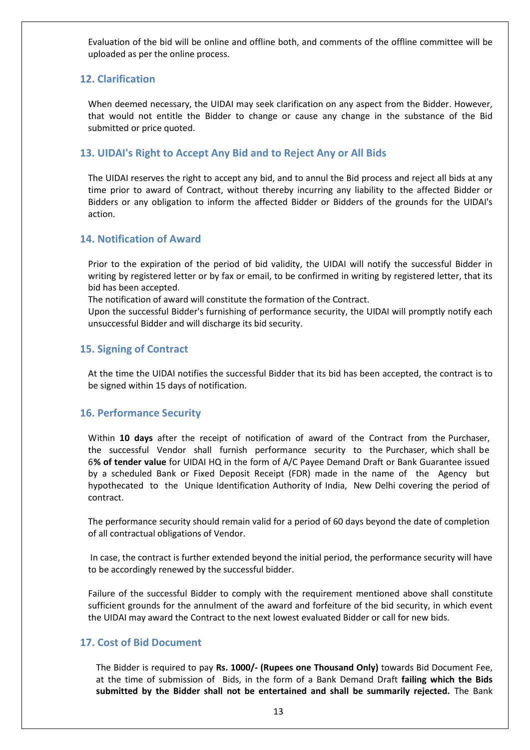Evaluation of the bid will be online and offline both, and comments of the offline committee will be uploaded as per the online process.

#### <span id="page-12-0"></span>**12. Clarification**

When deemed necessary, the UIDAI may seek clarification on any aspect from the Bidder. However, that would not entitle the Bidder to change or cause any change in the substance of the Bid submitted or price quoted.

#### <span id="page-12-1"></span>**13. UIDAI's Right to Accept Any Bid and to Reject Any or All Bids**

The UIDAI reserves the right to accept any bid, and to annul the Bid process and reject all bids at any time prior to award of Contract, without thereby incurring any liability to the affected Bidder or Bidders or any obligation to inform the affected Bidder or Bidders of the grounds for the UIDAI's action.

#### <span id="page-12-2"></span>**14. Notification of Award**

Prior to the expiration of the period of bid validity, the UIDAI will notify the successful Bidder in writing by registered letter or by fax or email, to be confirmed in writing by registered letter, that its bid has been accepted.

The notification of award will constitute the formation of the Contract.

Upon the successful Bidder's furnishing of performance security, the UIDAI will promptly notify each unsuccessful Bidder and will discharge its bid security.

#### <span id="page-12-3"></span>**15. Signing of Contract**

At the time the UIDAI notifies the successful Bidder that its bid has been accepted, the contract is to be signed within 15 days of notification.

#### <span id="page-12-4"></span>**16. Performance Security**

Within **10 days** after the receipt of notification of award of the Contract from the Purchaser, the successful Vendor shall furnish performance security to the Purchaser, which shall be 6**% of tender value** for UIDAI HQ in the form of A/C Payee Demand Draft or Bank Guarantee issued by a scheduled Bank or Fixed Deposit Receipt (FDR) made in the name of the Agency but hypothecated to the Unique Identification Authority of India, New Delhi covering the period of contract.

The performance security should remain valid for a period of 60 days beyond the date of completion of all contractual obligations of Vendor.

In case, the contract is further extended beyond the initial period, the performance security will have to be accordingly renewed by the successful bidder.

Failure of the successful Bidder to comply with the requirement mentioned above shall constitute sufficient grounds for the annulment of the award and forfeiture of the bid security, in which event the UIDAI may award the Contract to the next lowest evaluated Bidder or call for new bids.

#### <span id="page-12-5"></span>**17. Cost of Bid Document**

The Bidder is required to pay **Rs. 1000/- (Rupees one Thousand Only)** towards Bid Document Fee, at the time of submission of Bids, in the form of a Bank Demand Draft **failing which the Bids submitted by the Bidder shall not be entertained and shall be summarily rejected.** The Bank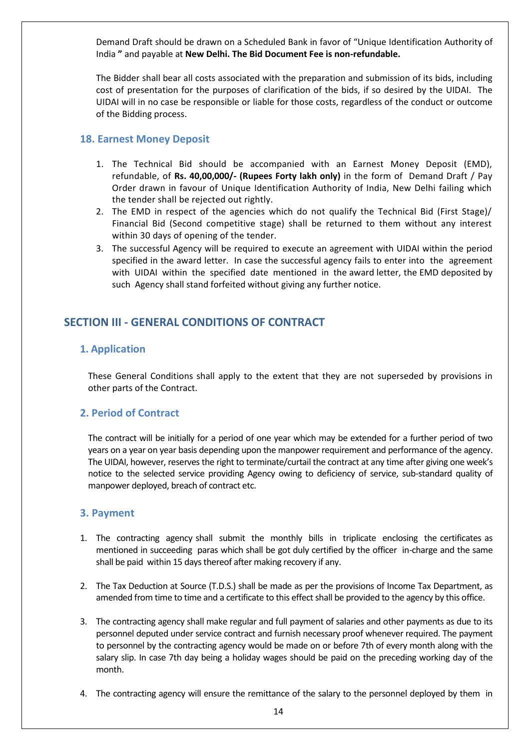Demand Draft should be drawn on a Scheduled Bank in favor of "Unique Identification Authority of India **"** and payable at **New Delhi. The Bid Document Fee is non-refundable.**

The Bidder shall bear all costs associated with the preparation and submission of its bids, including cost of presentation for the purposes of clarification of the bids, if so desired by the UIDAI. The UIDAI will in no case be responsible or liable for those costs, regardless of the conduct or outcome of the Bidding process.

#### <span id="page-13-0"></span>**18. Earnest Money Deposit**

- 1. The Technical Bid should be accompanied with an Earnest Money Deposit (EMD), refundable, of **Rs. 40,00,000/- (Rupees Forty lakh only)** in the form of Demand Draft / Pay Order drawn in favour of Unique Identification Authority of India, New Delhi failing which the tender shall be rejected out rightly.
- 2. The EMD in respect of the agencies which do not qualify the Technical Bid (First Stage)/ Financial Bid (Second competitive stage) shall be returned to them without any interest within 30 days of opening of the tender.
- 3. The successful Agency will be required to execute an agreement with UIDAI within the period specified in the award letter. In case the successful agency fails to enter into the agreement with UIDAI within the specified date mentioned in the award letter, the EMD deposited by such Agency shall stand forfeited without giving any further notice.

# <span id="page-13-1"></span>**SECTION III - GENERAL CONDITIONS OF CONTRACT**

#### <span id="page-13-2"></span>**1. Application**

These General Conditions shall apply to the extent that they are not superseded by provisions in other parts of the Contract.

#### <span id="page-13-3"></span>**2. Period of Contract**

The contract will be initially for a period of one year which may be extended for a further period of two years on a year on year basis depending upon the manpower requirement and performance of the agency. The UIDAI, however, reserves the right to terminate/curtail the contract at any time after giving one week's notice to the selected service providing Agency owing to deficiency of service, sub-standard quality of manpower deployed, breach of contract etc.

#### <span id="page-13-4"></span>**3. Payment**

- 1. The contracting agency shall submit the monthly bills in triplicate enclosing the certificates as mentioned in succeeding paras which shall be got duly certified by the officer in-charge and the same shall be paid within 15 days thereof after making recovery if any.
- 2. The Tax Deduction at Source (T.D.S.) shall be made as per the provisions of Income Tax Department, as amended from time to time and a certificate to this effect shall be provided to the agency by this office.
- 3. The contracting agency shall make regular and full payment of salaries and other payments as due to its personnel deputed under service contract and furnish necessary proof whenever required. The payment to personnel by the contracting agency would be made on or before 7th of every month along with the salary slip. In case 7th day being a holiday wages should be paid on the preceding working day of the month.
- 4. The contracting agency will ensure the remittance of the salary to the personnel deployed by them in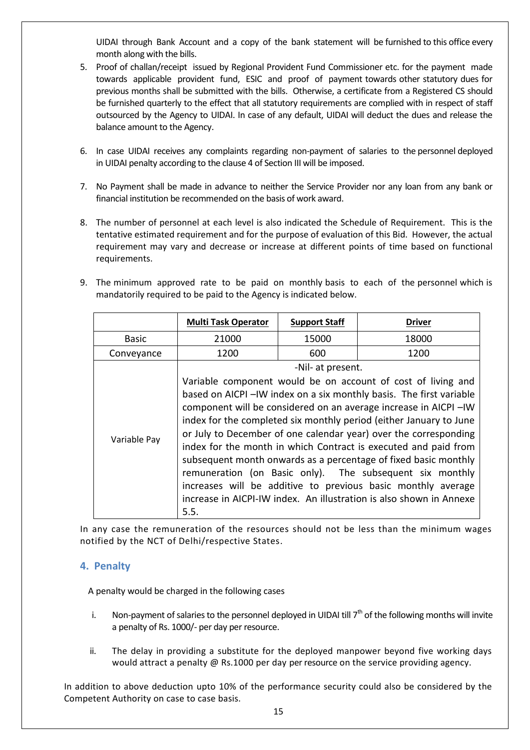UIDAI through Bank Account and a copy of the bank statement will be furnished to this office every month along with the bills.

- 5. Proof of challan/receipt issued by Regional Provident Fund Commissioner etc. for the payment made towards applicable provident fund, ESIC and proof of payment towards other statutory dues for previous months shall be submitted with the bills. Otherwise, a certificate from a Registered CS should be furnished quarterly to the effect that all statutory requirements are complied with in respect of staff outsourced by the Agency to UIDAI. In case of any default, UIDAI will deduct the dues and release the balance amount to the Agency.
- 6. In case UIDAI receives any complaints regarding non-payment of salaries to the personnel deployed in UIDAI penalty according to the clause 4 of Section III will be imposed.
- 7. No Payment shall be made in advance to neither the Service Provider nor any loan from any bank or financial institution be recommended on the basis of work award.
- 8. The number of personnel at each level is also indicated the Schedule of Requirement. This is the tentative estimated requirement and for the purpose of evaluation of this Bid. However, the actual requirement may vary and decrease or increase at different points of time based on functional requirements.
- 9. The minimum approved rate to be paid on monthly basis to each of the personnel which is mandatorily required to be paid to the Agency is indicated below.

|              | <b>Multi Task Operator</b>                                         | <b>Support Staff</b>                                            | <b>Driver</b>                                                       |  |
|--------------|--------------------------------------------------------------------|-----------------------------------------------------------------|---------------------------------------------------------------------|--|
| <b>Basic</b> | 21000                                                              | 15000                                                           | 18000                                                               |  |
| Conveyance   | 1200                                                               | 600                                                             | 1200                                                                |  |
|              |                                                                    | -Nil- at present.                                               |                                                                     |  |
|              |                                                                    |                                                                 | Variable component would be on account of cost of living and        |  |
|              |                                                                    |                                                                 | based on AICPI-IW index on a six monthly basis. The first variable  |  |
|              |                                                                    |                                                                 | component will be considered on an average increase in AICPI -IW    |  |
|              | index for the completed six monthly period (either January to June |                                                                 |                                                                     |  |
| Variable Pay | or July to December of one calendar year) over the corresponding   |                                                                 |                                                                     |  |
|              |                                                                    | index for the month in which Contract is executed and paid from |                                                                     |  |
|              |                                                                    |                                                                 | subsequent month onwards as a percentage of fixed basic monthly     |  |
|              |                                                                    |                                                                 | remuneration (on Basic only). The subsequent six monthly            |  |
|              |                                                                    |                                                                 | increases will be additive to previous basic monthly average        |  |
|              |                                                                    |                                                                 | increase in AICPI-IW index. An illustration is also shown in Annexe |  |
|              | 5.5.                                                               |                                                                 |                                                                     |  |

In any case the remuneration of the resources should not be less than the minimum wages notified by the NCT of Delhi/respective States.

#### <span id="page-14-0"></span>**4. Penalty**

A penalty would be charged in the following cases

- i. Non-payment of salaries to the personnel deployed in UIDAI till  $7<sup>th</sup>$  of the following months will invite a penalty of Rs. 1000/- per day per resource.
- ii. The delay in providing a substitute for the deployed manpower beyond five working days would attract a penalty @ Rs.1000 per day per resource on the service providing agency.

In addition to above deduction upto 10% of the performance security could also be considered by the Competent Authority on case to case basis.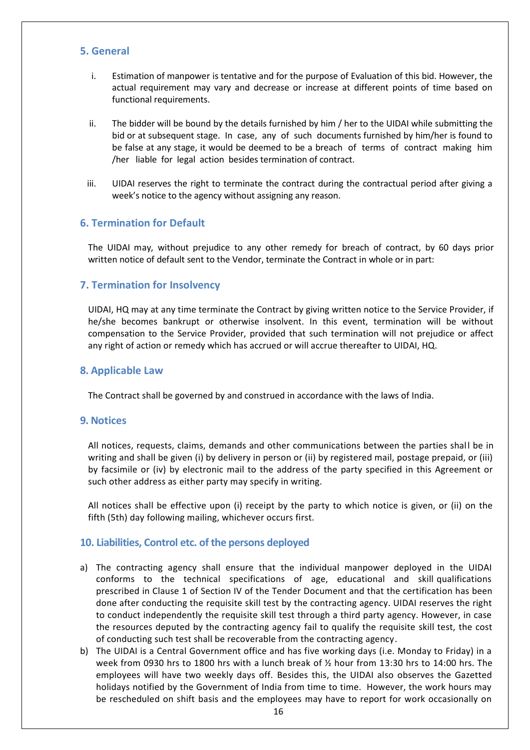#### <span id="page-15-0"></span>**5. General**

- i. Estimation of manpower is tentative and for the purpose of Evaluation of this bid. However, the actual requirement may vary and decrease or increase at different points of time based on functional requirements.
- ii. The bidder will be bound by the details furnished by him / her to the UIDAI while submitting the bid or at subsequent stage. In case, any of such documents furnished by him/her is found to be false at any stage, it would be deemed to be a breach of terms of contract making him /her liable for legal action besides termination of contract.
- iii. UIDAI reserves the right to terminate the contract during the contractual period after giving a week's notice to the agency without assigning any reason.

#### <span id="page-15-1"></span>**6. Termination for Default**

The UIDAI may, without prejudice to any other remedy for breach of contract, by 60 days prior written notice of default sent to the Vendor, terminate the Contract in whole or in part:

#### <span id="page-15-2"></span>**7. Termination for Insolvency**

UIDAI, HQ may at any time terminate the Contract by giving written notice to the Service Provider, if he/she becomes bankrupt or otherwise insolvent. In this event, termination will be without compensation to the Service Provider, provided that such termination will not prejudice or affect any right of action or remedy which has accrued or will accrue thereafter to UIDAI, HQ.

#### <span id="page-15-3"></span>**8. Applicable Law**

The Contract shall be governed by and construed in accordance with the laws of India.

#### <span id="page-15-4"></span>**9. Notices**

All notices, requests, claims, demands and other communications between the parties shall be in writing and shall be given (i) by delivery in person or (ii) by registered mail, postage prepaid, or (iii) by facsimile or (iv) by electronic mail to the address of the party specified in this Agreement or such other address as either party may specify in writing.

All notices shall be effective upon (i) receipt by the party to which notice is given, or (ii) on the fifth (5th) day following mailing, whichever occurs first.

#### <span id="page-15-5"></span>**10. Liabilities, Control etc. of the persons deployed**

- a) The contracting agency shall ensure that the individual manpower deployed in the UIDAI conforms to the technical specifications of age, educational and skill qualifications prescribed in Clause 1 of Section IV of the Tender Document and that the certification has been done after conducting the requisite skill test by the contracting agency. UIDAI reserves the right to conduct independently the requisite skill test through a third party agency. However, in case the resources deputed by the contracting agency fail to qualify the requisite skill test, the cost of conducting such test shall be recoverable from the contracting agency.
- b) The UIDAI is a Central Government office and has five working days (i.e. Monday to Friday) in a week from 0930 hrs to 1800 hrs with a lunch break of ½ hour from 13:30 hrs to 14:00 hrs. The employees will have two weekly days off. Besides this, the UIDAI also observes the Gazetted holidays notified by the Government of India from time to time. However, the work hours may be rescheduled on shift basis and the employees may have to report for work occasionally on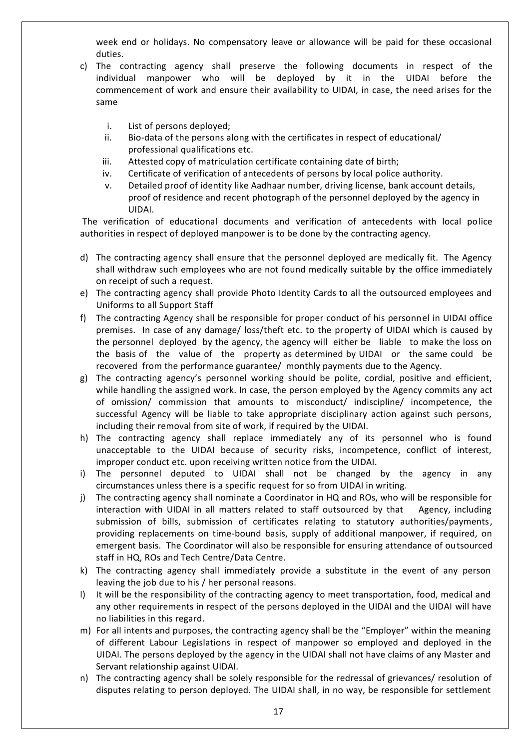week end or holidays. No compensatory leave or allowance will be paid for these occasional duties.

- c) The contracting agency shall preserve the following documents in respect of the individual manpower who will be deployed by it in the UIDAI before the commencement of work and ensure their availability to UIDAI, in case, the need arises for the same
	- i. List of persons deployed;
	- ii. Bio-data of the persons along with the certificates in respect of educational/ professional qualifications etc.
	- iii. Attested copy of matriculation certificate containing date of birth;
	- iv. Certificate of verification of antecedents of persons by local police authority.
	- v. Detailed proof of identity like Aadhaar number, driving license, bank account details, proof of residence and recent photograph of the personnel deployed by the agency in UIDAI.

The verification of educational documents and verification of antecedents with local police authorities in respect of deployed manpower is to be done by the contracting agency.

- d) The contracting agency shall ensure that the personnel deployed are medically fit. The Agency shall withdraw such employees who are not found medically suitable by the office immediately on receipt of such a request.
- e) The contracting agency shall provide Photo Identity Cards to all the outsourced employees and Uniforms to all Support Staff
- f) The contracting Agency shall be responsible for proper conduct of his personnel in UIDAI office premises. In case of any damage/ loss/theft etc. to the property of UIDAI which is caused by the personnel deployed by the agency, the agency will either be liable to make the loss on the basis of the value of the property as determined by UIDAI or the same could be recovered from the performance guarantee/ monthly payments due to the Agency.
- g) The contracting agency's personnel working should be polite, cordial, positive and efficient, while handling the assigned work. In case, the person employed by the Agency commits any act of omission/ commission that amounts to misconduct/ indiscipline/ incompetence, the successful Agency will be liable to take appropriate disciplinary action against such persons, including their removal from site of work, if required by the UIDAI.
- h) The contracting agency shall replace immediately any of its personnel who is found unacceptable to the UIDAI because of security risks, incompetence, conflict of interest, improper conduct etc. upon receiving written notice from the UIDAI.
- i) The personnel deputed to UIDAI shall not be changed by the agency in any circumstances unless there is a specific request for so from UIDAI in writing.
- j) The contracting agency shall nominate a Coordinator in HQ and ROs, who will be responsible for interaction with UIDAI in all matters related to staff outsourced by that Agency, including submission of bills, submission of certificates relating to statutory authorities/payments, providing replacements on time-bound basis, supply of additional manpower, if required, on emergent basis. The Coordinator will also be responsible for ensuring attendance of outsourced staff in HQ, ROs and Tech Centre/Data Centre.
- k) The contracting agency shall immediately provide a substitute in the event of any person leaving the job due to his / her personal reasons.
- l) It will be the responsibility of the contracting agency to meet transportation, food, medical and any other requirements in respect of the persons deployed in the UIDAI and the UIDAI will have no liabilities in this regard.
- m) For all intents and purposes, the contracting agency shall be the "Employer" within the meaning of different Labour Legislations in respect of manpower so employed and deployed in the UIDAI. The persons deployed by the agency in the UIDAI shall not have claims of any Master and Servant relationship against UIDAI.
- n) The contracting agency shall be solely responsible for the redressal of grievances/ resolution of disputes relating to person deployed. The UIDAI shall, in no way, be responsible for settlement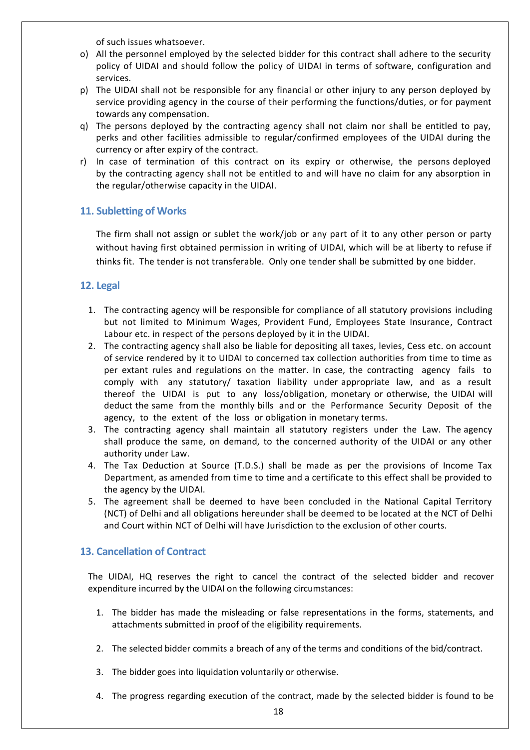of such issues whatsoever.

- o) All the personnel employed by the selected bidder for this contract shall adhere to the security policy of UIDAI and should follow the policy of UIDAI in terms of software, configuration and services.
- p) The UIDAI shall not be responsible for any financial or other injury to any person deployed by service providing agency in the course of their performing the functions/duties, or for payment towards any compensation.
- q) The persons deployed by the contracting agency shall not claim nor shall be entitled to pay, perks and other facilities admissible to regular/confirmed employees of the UIDAI during the currency or after expiry of the contract.
- r) In case of termination of this contract on its expiry or otherwise, the persons deployed by the contracting agency shall not be entitled to and will have no claim for any absorption in the regular/otherwise capacity in the UIDAI.

#### <span id="page-17-0"></span>**11. Subletting of Works**

The firm shall not assign or sublet the work/job or any part of it to any other person or party without having first obtained permission in writing of UIDAI, which will be at liberty to refuse if thinks fit. The tender is not transferable. Only one tender shall be submitted by one bidder.

#### <span id="page-17-1"></span>**12. Legal**

- 1. The contracting agency will be responsible for compliance of all statutory provisions including but not limited to Minimum Wages, Provident Fund, Employees State Insurance, Contract Labour etc. in respect of the persons deployed by it in the UIDAI.
- 2. The contracting agency shall also be liable for depositing all taxes, levies, Cess etc. on account of service rendered by it to UIDAI to concerned tax collection authorities from time to time as per extant rules and regulations on the matter. In case, the contracting agency fails to comply with any statutory/ taxation liability under appropriate law, and as a result thereof the UIDAI is put to any loss/obligation, monetary or otherwise, the UIDAI will deduct the same from the monthly bills and or the Performance Security Deposit of the agency, to the extent of the loss or obligation in monetary terms.
- 3. The contracting agency shall maintain all statutory registers under the Law. The agency shall produce the same, on demand, to the concerned authority of the UIDAI or any other authority under Law.
- 4. The Tax Deduction at Source (T.D.S.) shall be made as per the provisions of Income Tax Department, as amended from time to time and a certificate to this effect shall be provided to the agency by the UIDAI.
- 5. The agreement shall be deemed to have been concluded in the National Capital Territory (NCT) of Delhi and all obligations hereunder shall be deemed to be located at the NCT of Delhi and Court within NCT of Delhi will have Jurisdiction to the exclusion of other courts.

#### <span id="page-17-2"></span>**13. Cancellation of Contract**

The UIDAI, HQ reserves the right to cancel the contract of the selected bidder and recover expenditure incurred by the UIDAI on the following circumstances:

- 1. The bidder has made the misleading or false representations in the forms, statements, and attachments submitted in proof of the eligibility requirements.
- 2. The selected bidder commits a breach of any of the terms and conditions of the bid/contract.
- 3. The bidder goes into liquidation voluntarily or otherwise.
- 4. The progress regarding execution of the contract, made by the selected bidder is found to be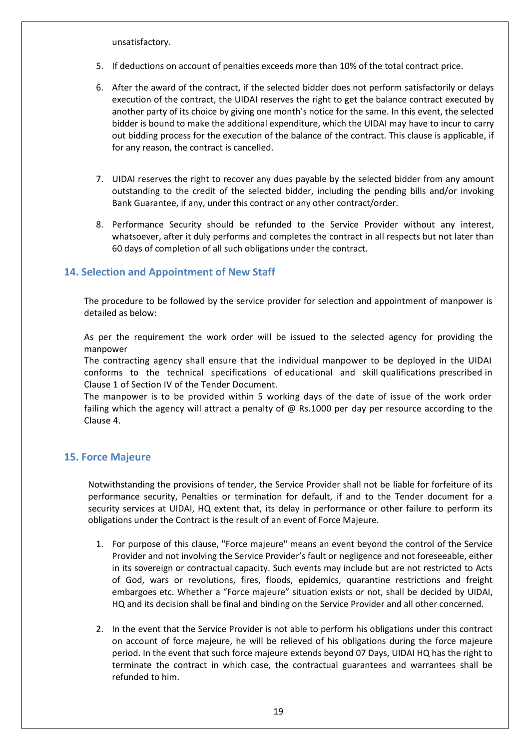unsatisfactory.

- 5. If deductions on account of penalties exceeds more than 10% of the total contract price.
- 6. After the award of the contract, if the selected bidder does not perform satisfactorily or delays execution of the contract, the UIDAI reserves the right to get the balance contract executed by another party of its choice by giving one month's notice for the same. In this event, the selected bidder is bound to make the additional expenditure, which the UIDAI may have to incur to carry out bidding process for the execution of the balance of the contract. This clause is applicable, if for any reason, the contract is cancelled.
- 7. UIDAI reserves the right to recover any dues payable by the selected bidder from any amount outstanding to the credit of the selected bidder, including the pending bills and/or invoking Bank Guarantee, if any, under this contract or any other contract/order.
- 8. Performance Security should be refunded to the Service Provider without any interest, whatsoever, after it duly performs and completes the contract in all respects but not later than 60 days of completion of all such obligations under the contract.

#### <span id="page-18-0"></span>**14. Selection and Appointment of New Staff**

The procedure to be followed by the service provider for selection and appointment of manpower is detailed as below:

As per the requirement the work order will be issued to the selected agency for providing the manpower

The contracting agency shall ensure that the individual manpower to be deployed in the UIDAI conforms to the technical specifications of educational and skill qualifications prescribed in Clause 1 of Section IV of the Tender Document.

The manpower is to be provided within 5 working days of the date of issue of the work order failing which the agency will attract a penalty of @ Rs.1000 per day per resource according to the Clause 4.

#### <span id="page-18-1"></span>**15. Force Majeure**

Notwithstanding the provisions of tender, the Service Provider shall not be liable for forfeiture of its performance security, Penalties or termination for default, if and to the Tender document for a security services at UIDAI, HQ extent that, its delay in performance or other failure to perform its obligations under the Contract is the result of an event of Force Majeure.

- 1. For purpose of this clause, "Force majeure" means an event beyond the control of the Service Provider and not involving the Service Provider's fault or negligence and not foreseeable, either in its sovereign or contractual capacity. Such events may include but are not restricted to Acts of God, wars or revolutions, fires, floods, epidemics, quarantine restrictions and freight embargoes etc. Whether a "Force majeure" situation exists or not, shall be decided by UIDAI, HQ and its decision shall be final and binding on the Service Provider and all other concerned.
- 2. In the event that the Service Provider is not able to perform his obligations under this contract on account of force majeure, he will be relieved of his obligations during the force majeure period. In the event that such force majeure extends beyond 07 Days, UIDAI HQ has the right to terminate the contract in which case, the contractual guarantees and warrantees shall be refunded to him.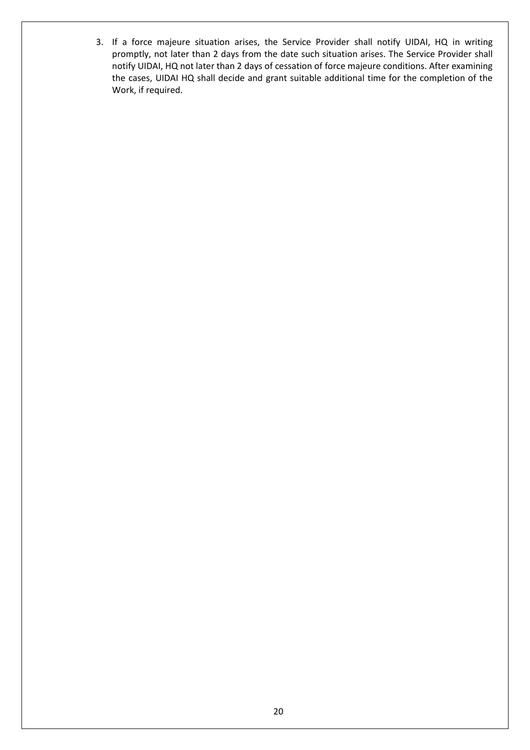3. If a force majeure situation arises, the Service Provider shall notify UIDAI, HQ in writing promptly, not later than 2 days from the date such situation arises. The Service Provider shall notify UIDAI, HQ not later than 2 days of cessation of force majeure conditions. After examining the cases, UIDAI HQ shall decide and grant suitable additional time for the completion of the Work, if required.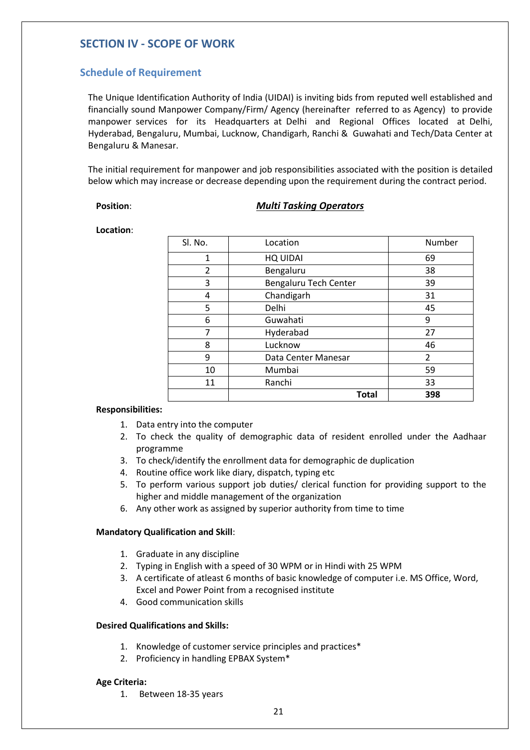# <span id="page-20-0"></span>**SECTION IV - SCOPE OF WORK**

# <span id="page-20-1"></span>**Schedule of Requirement**

The Unique Identification Authority of India (UIDAI) is inviting bids from reputed well established and financially sound Manpower Company/Firm/ Agency (hereinafter referred to as Agency) to provide manpower services for its Headquarters at Delhi and Regional Offices located at Delhi, Hyderabad, Bengaluru, Mumbai, Lucknow, Chandigarh, Ranchi & Guwahati and Tech/Data Center at Bengaluru & Manesar.

The initial requirement for manpower and job responsibilities associated with the position is detailed below which may increase or decrease depending upon the requirement during the contract period.

#### **Position**: *Multi Tasking Operators*

**Location**:

| Sl. No. | Location              | Number         |
|---------|-----------------------|----------------|
| 1       | <b>HQ UIDAI</b>       | 69             |
| 2       | Bengaluru             | 38             |
| 3       | Bengaluru Tech Center | 39             |
| 4       | Chandigarh            | 31             |
| 5       | Delhi                 | 45             |
| 6       | Guwahati              | 9              |
| 7       | Hyderabad             | 27             |
| 8       | Lucknow               | 46             |
| 9       | Data Center Manesar   | $\overline{2}$ |
| 10      | Mumbai                | 59             |
| 11      | Ranchi                | 33             |
|         | <b>Total</b>          | 398            |

#### **Responsibilities:**

- 1. Data entry into the computer
- 2. To check the quality of demographic data of resident enrolled under the Aadhaar programme
- 3. To check/identify the enrollment data for demographic de duplication
- 4. Routine office work like diary, dispatch, typing etc
- 5. To perform various support job duties/ clerical function for providing support to the higher and middle management of the organization
- 6. Any other work as assigned by superior authority from time to time

#### **Mandatory Qualification and Skill**:

- 1. Graduate in any discipline
- 2. Typing in English with a speed of 30 WPM or in Hindi with 25 WPM
- 3. A certificate of atleast 6 months of basic knowledge of computer i.e. MS Office, Word, Excel and Power Point from a recognised institute
- 4. Good communication skills

#### **Desired Qualifications and Skills:**

- 1. Knowledge of customer service principles and practices\*
- 2. Proficiency in handling EPBAX System\*

#### **Age Criteria:**

1. Between 18-35 years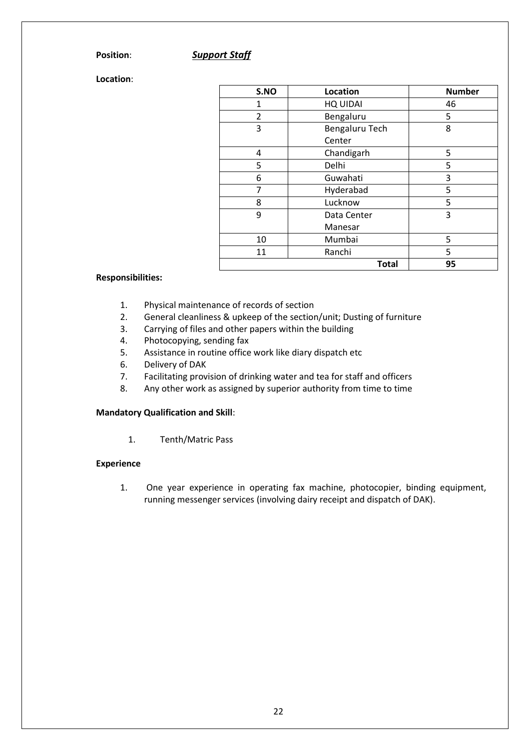#### **Position**: *Support Staff*

**Location**:

| S.NO           | Location        | <b>Number</b> |
|----------------|-----------------|---------------|
| 1              | <b>HQ UIDAI</b> | 46            |
| $\overline{2}$ | Bengaluru       | 5             |
| 3              | Bengaluru Tech  | 8             |
|                | Center          |               |
| 4              | Chandigarh      | 5             |
| 5              | Delhi           | 5             |
| 6              | Guwahati        | 3             |
| 7              | Hyderabad       | 5             |
| 8              | Lucknow         | 5             |
| 9              | Data Center     | 3             |
|                | Manesar         |               |
| 10             | Mumbai          | 5             |
| 11             | Ranchi          | 5             |
|                | <b>Total</b>    | 95            |

#### **Responsibilities:**

- 1. Physical maintenance of records of section
- 2. General cleanliness & upkeep of the section/unit; Dusting of furniture
- 3. Carrying of files and other papers within the building
- 4. Photocopying, sending fax
- 5. Assistance in routine office work like diary dispatch etc
- 6. Delivery of DAK
- 7. Facilitating provision of drinking water and tea for staff and officers
- 8. Any other work as assigned by superior authority from time to time

#### **Mandatory Qualification and Skill**:

1. Tenth/Matric Pass

#### **Experience**

1. One year experience in operating fax machine, photocopier, binding equipment, running messenger services (involving dairy receipt and dispatch of DAK).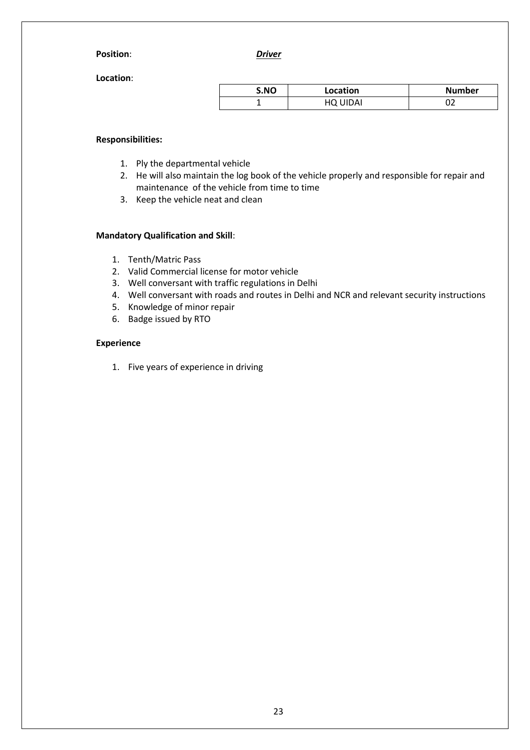#### **Position**: *Driver*

**Location**:

| S.NO | Location | <b>Number</b> |
|------|----------|---------------|
|      | HQ UIDAI | ັ້            |

#### **Responsibilities:**

- 1. Ply the departmental vehicle
- 2. He will also maintain the log book of the vehicle properly and responsible for repair and maintenance of the vehicle from time to time
- 3. Keep the vehicle neat and clean

#### **Mandatory Qualification and Skill**:

- 1. Tenth/Matric Pass
- 2. Valid Commercial license for motor vehicle
- 3. Well conversant with traffic regulations in Delhi
- 4. Well conversant with roads and routes in Delhi and NCR and relevant security instructions
- 5. Knowledge of minor repair
- 6. Badge issued by RTO

#### **Experience**

1. Five years of experience in driving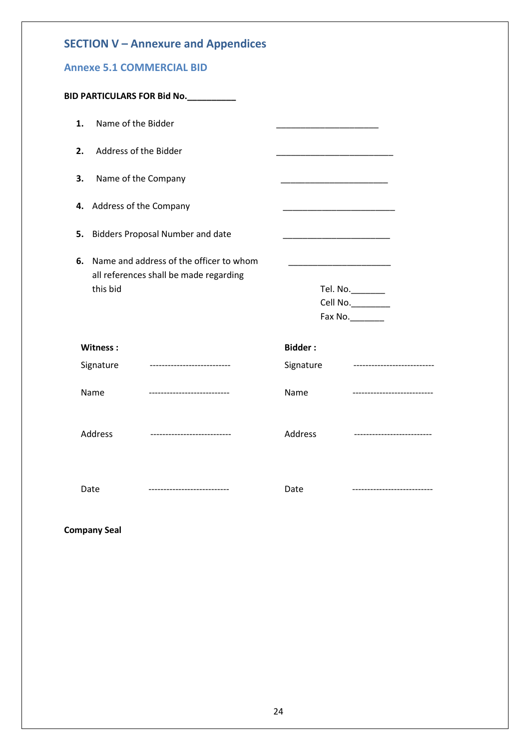<span id="page-23-0"></span>

| <b>SECTION V - Annexure and Appendices</b> |  |
|--------------------------------------------|--|
|--------------------------------------------|--|

# <span id="page-23-1"></span>**Annexe 5.1 COMMERCIAL BID**

|    |                        | <b>BID PARTICULARS FOR Bid No.__________</b>                                      |                                                                                                                        |                                                  |
|----|------------------------|-----------------------------------------------------------------------------------|------------------------------------------------------------------------------------------------------------------------|--------------------------------------------------|
| 1. | Name of the Bidder     |                                                                                   |                                                                                                                        |                                                  |
| 2. | Address of the Bidder  |                                                                                   |                                                                                                                        |                                                  |
| 3. | Name of the Company    |                                                                                   |                                                                                                                        |                                                  |
| 4. | Address of the Company |                                                                                   |                                                                                                                        |                                                  |
| 5. |                        | <b>Bidders Proposal Number and date</b>                                           | <u> 1990 - Johann John Harry Harry Harry Harry Harry Harry Harry Harry Harry Harry Harry Harry Harry Harry Harry H</u> |                                                  |
| 6. | this bid               | Name and address of the officer to whom<br>all references shall be made regarding |                                                                                                                        | Tel. No.________<br>Cell No.<br>Fax No._________ |
|    | Witness:               |                                                                                   | <b>Bidder:</b>                                                                                                         |                                                  |
|    | Signature              |                                                                                   | Signature                                                                                                              |                                                  |
|    | Name                   | ----------------------------                                                      | Name                                                                                                                   | ---------------------------                      |
|    | <b>Address</b>         | ----------------------------                                                      | Address                                                                                                                | ---------------------------                      |
|    | Date                   | ----------------------------                                                      | Date                                                                                                                   | -------------------------                        |

**Company Seal**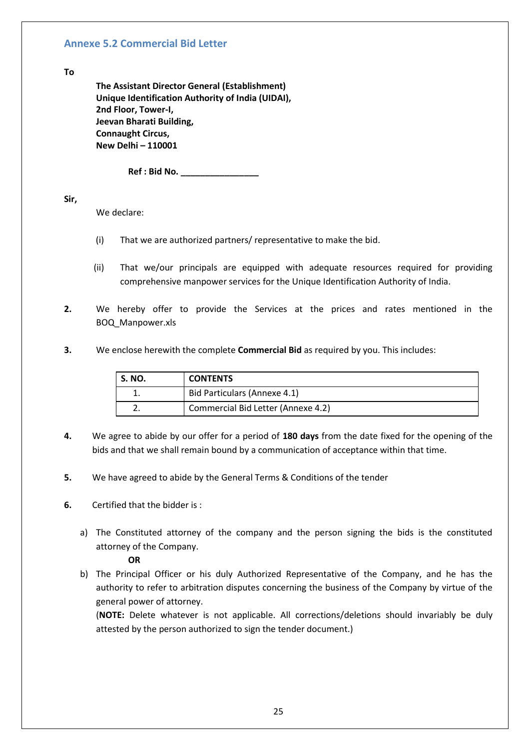#### <span id="page-24-0"></span>**Annexe 5.2 Commercial Bid Letter**

#### **To**

**The Assistant Director General (Establishment) Unique Identification Authority of India (UIDAI), 2nd Floor, Tower-I, Jeevan Bharati Building, Connaught Circus, New Delhi – 110001**

**Ref : Bid No. \_\_\_\_\_\_\_\_\_\_\_\_\_\_\_\_**

**Sir,**

We declare:

- (i) That we are authorized partners/ representative to make the bid.
- (ii) That we/our principals are equipped with adequate resources required for providing comprehensive manpower services for the Unique Identification Authority of India.
- **2.** We hereby offer to provide the Services at the prices and rates mentioned in the BOQ\_Manpower.xls
- **3.** We enclose herewith the complete **Commercial Bid** as required by you. This includes:

| <b>S. NO.</b> | <b>CONTENTS</b>                    |
|---------------|------------------------------------|
|               | Bid Particulars (Annexe 4.1)       |
|               | Commercial Bid Letter (Annexe 4.2) |

- **4.** We agree to abide by our offer for a period of **180 days** from the date fixed for the opening of the bids and that we shall remain bound by a communication of acceptance within that time.
- **5.** We have agreed to abide by the General Terms & Conditions of the tender
- **6.** Certified that the bidder is :
	- a) The Constituted attorney of the company and the person signing the bids is the constituted attorney of the Company.

#### **OR**

b) The Principal Officer or his duly Authorized Representative of the Company, and he has the authority to refer to arbitration disputes concerning the business of the Company by virtue of the general power of attorney.

(**NOTE:** Delete whatever is not applicable. All corrections/deletions should invariably be duly attested by the person authorized to sign the tender document.)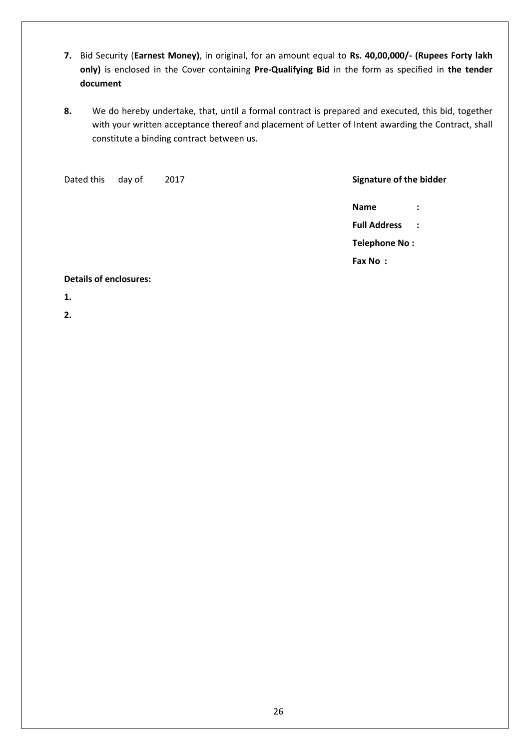- **7.** Bid Security (**Earnest Money)**, in original, for an amount equal to **Rs. 40,00,000/- (Rupees Forty lakh only)** is enclosed in the Cover containing **Pre-Qualifying Bid** in the form as specified in **the tender document**
- **8.** We do hereby undertake, that, until a formal contract is prepared and executed, this bid, together with your written acceptance thereof and placement of Letter of Intent awarding the Contract, shall constitute a binding contract between us.

| Dated this                    | day of | 2017 |  | Signature of the bidder |                |
|-------------------------------|--------|------|--|-------------------------|----------------|
|                               |        |      |  | Name                    | $\ddot{\cdot}$ |
|                               |        |      |  | <b>Full Address</b>     | $\sim$ :       |
|                               |        |      |  | Telephone No:           |                |
|                               |        |      |  | Fax No:                 |                |
| <b>Details of enclosures:</b> |        |      |  |                         |                |

#### **1.**

**2.**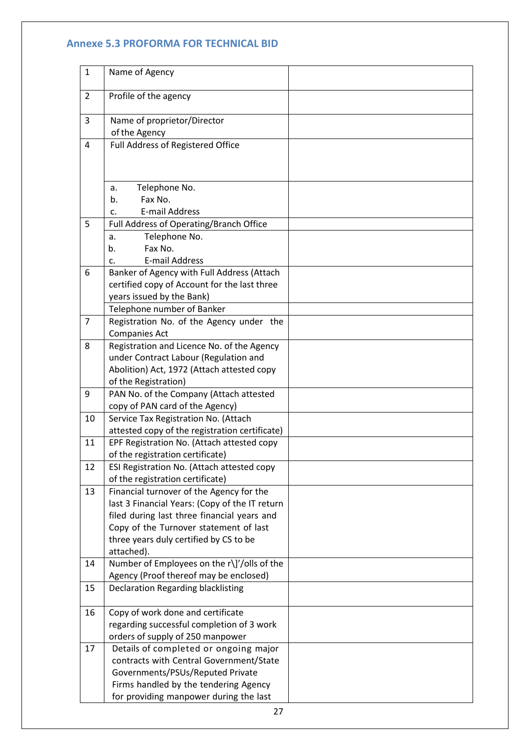#### <span id="page-26-0"></span>**Annexe 5.3 PROFORMA FOR TECHNICAL BID**

| $\mathbf{1}$   | Name of Agency                                                                         |  |
|----------------|----------------------------------------------------------------------------------------|--|
| $\overline{2}$ | Profile of the agency                                                                  |  |
| 3              | Name of proprietor/Director<br>of the Agency                                           |  |
| $\overline{4}$ | Full Address of Registered Office                                                      |  |
|                | Telephone No.<br>a.<br>Fax No.<br>b.                                                   |  |
|                | <b>E-mail Address</b><br>c.                                                            |  |
| 5              | Full Address of Operating/Branch Office                                                |  |
|                | Telephone No.<br>a.                                                                    |  |
|                | Fax No.<br>b.                                                                          |  |
|                | <b>E-mail Address</b><br>C.                                                            |  |
| 6              | Banker of Agency with Full Address (Attach                                             |  |
|                | certified copy of Account for the last three                                           |  |
|                | years issued by the Bank)                                                              |  |
| $\overline{7}$ | Telephone number of Banker                                                             |  |
|                | Registration No. of the Agency under the<br><b>Companies Act</b>                       |  |
| 8              | Registration and Licence No. of the Agency                                             |  |
|                | under Contract Labour (Regulation and                                                  |  |
|                | Abolition) Act, 1972 (Attach attested copy                                             |  |
|                | of the Registration)                                                                   |  |
| 9              | PAN No. of the Company (Attach attested                                                |  |
|                | copy of PAN card of the Agency)                                                        |  |
| 10             | Service Tax Registration No. (Attach<br>attested copy of the registration certificate) |  |
| 11             | EPF Registration No. (Attach attested copy                                             |  |
|                | of the registration certificate)                                                       |  |
| 12             | ESI Registration No. (Attach attested copy                                             |  |
|                | of the registration certificate)                                                       |  |
| 13             | Financial turnover of the Agency for the                                               |  |
|                | last 3 Financial Years: (Copy of the IT return                                         |  |
|                | filed during last three financial years and                                            |  |
|                | Copy of the Turnover statement of last                                                 |  |
|                | three years duly certified by CS to be                                                 |  |
|                | attached).                                                                             |  |
| 14             | Number of Employees on the r\]'/olls of the                                            |  |
|                | Agency (Proof thereof may be enclosed)                                                 |  |
| 15             | <b>Declaration Regarding blacklisting</b>                                              |  |
| 16             | Copy of work done and certificate                                                      |  |
|                | regarding successful completion of 3 work                                              |  |
|                | orders of supply of 250 manpower                                                       |  |
| 17             | Details of completed or ongoing major                                                  |  |
|                | contracts with Central Government/State                                                |  |
|                | Governments/PSUs/Reputed Private                                                       |  |
|                | Firms handled by the tendering Agency                                                  |  |
|                | for providing manpower during the last                                                 |  |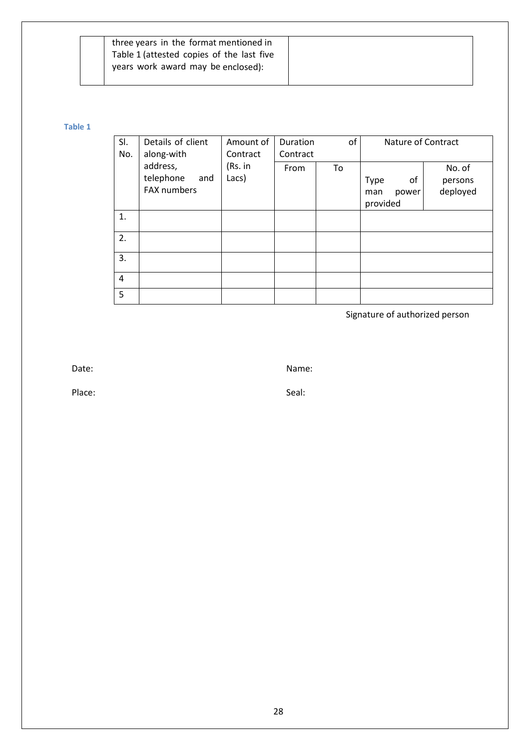| three years in the format mentioned in    |  |
|-------------------------------------------|--|
| Table 1 (attested copies of the last five |  |
| years work award may be enclosed):        |  |
|                                           |  |

#### **Table 1**

| SI.<br>No. | Details of client<br>along-with             | Amount of<br>Contract | Duration<br>Contract | of | Nature of Contract                     |                               |
|------------|---------------------------------------------|-----------------------|----------------------|----|----------------------------------------|-------------------------------|
|            | address,<br>telephone<br>and<br>FAX numbers | (Rs. in<br>Lacs)      | From                 | To | Type<br>οf<br>power<br>man<br>provided | No. of<br>persons<br>deployed |
| 1.         |                                             |                       |                      |    |                                        |                               |
| 2.         |                                             |                       |                      |    |                                        |                               |
| 3.         |                                             |                       |                      |    |                                        |                               |
| 4          |                                             |                       |                      |    |                                        |                               |
| 5          |                                             |                       |                      |    |                                        |                               |

Signature of authorized person

Date: Name: Name: Name: Name: Name: Name: Name: Name: Name: Name: Name: Name: Name: Name: Name: Name: Name: Name: Name: Name: Name: Name:  $N$ 

Place: Seal: Seal: Seal: Seal: Seal: Seal: Seal: Seal: Seal: Seal: Seal: Seal: Seal: Seal: Seal: Seal: Seal: Seal: Seal: Seal: Seal: Seal: Seal: Seal: Seal: Seal: Seal: Seal: Seal: Seal: Seal: Seal: Seal: Seal: Seal: Seal: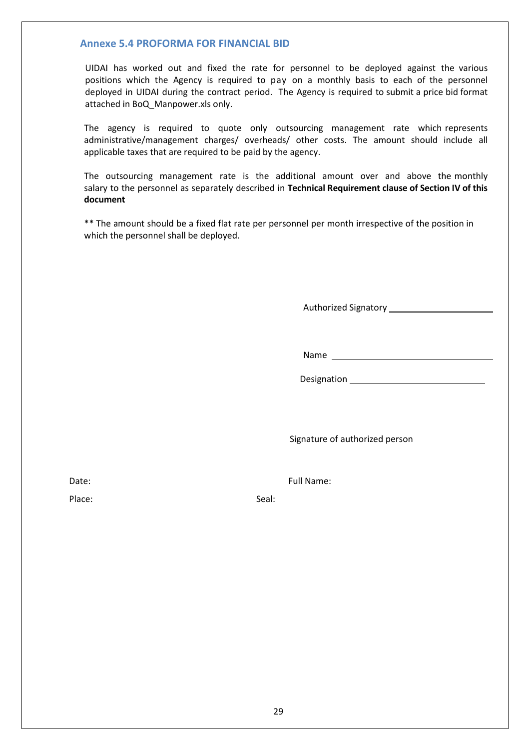#### <span id="page-28-0"></span>**Annexe 5.4 PROFORMA FOR FINANCIAL BID**

UIDAI has worked out and fixed the rate for personnel to be deployed against the various positions which the Agency is required to pay on a monthly basis to each of the personnel deployed in UIDAI during the contract period. The Agency is required to submit a price bid format attached in BoQ\_Manpower.xls only.

The agency is required to quote only outsourcing management rate which represents administrative/management charges/ overheads/ other costs. The amount should include all applicable taxes that are required to be paid by the agency.

The outsourcing management rate is the additional amount over and above the monthly salary to the personnel as separately described in **Technical Requirement clause of Section IV of this document**

\*\* The amount should be a fixed flat rate per personnel per month irrespective of the position in which the personnel shall be deployed.

Authorized Signatory \_\_\_\_\_\_\_\_\_\_\_\_\_\_

Name

Designation

Signature of authorized person

Date: Full Name:

Place: Seal: Seal: Seal: Seal: Seal: Seal: Seal: Seal: Seal: Seal: Seal: Seal: Seal: Seal: Seal: Seal: Seal: Seal: Seal: Seal: Seal: Seal: Seal: Seal: Seal: Seal: Seal: Seal: Seal: Seal: Seal: Seal: Seal: Seal: Seal: Seal: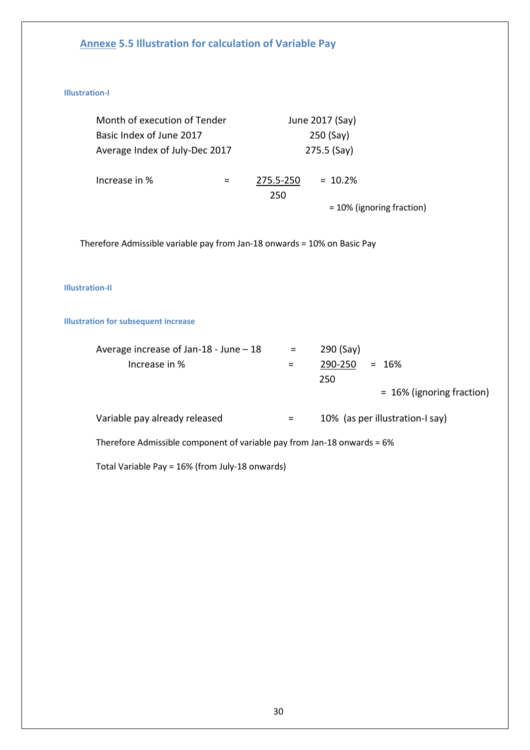# <span id="page-29-0"></span>**Annexe 5.5 Illustration for calculation of Variable Pay**

#### <span id="page-29-1"></span>**Illustration-I**

| Month of execution of Tender   |  | June 2017 (Say) |                              |  |
|--------------------------------|--|-----------------|------------------------------|--|
| Basic Index of June 2017       |  | $250$ (Say)     |                              |  |
| Average Index of July-Dec 2017 |  | 275.5 (Say)     |                              |  |
| Increase in %                  |  | 275.5-250       | $= 10.2%$                    |  |
|                                |  | 250             |                              |  |
|                                |  |                 | $= 10\%$ (ignoring fraction) |  |

Therefore Admissible variable pay from Jan-18 onwards = 10% on Basic Pay

#### <span id="page-29-2"></span>**Illustration-II**

#### <span id="page-29-3"></span>**Illustration for subsequent increase**

| Average increase of Jan-18 - June $-18$                                 | $=$ .    | 290 (Say)                       |
|-------------------------------------------------------------------------|----------|---------------------------------|
| Increase in %                                                           |          | 290-250<br>$= 16\%$             |
|                                                                         |          | 250                             |
|                                                                         |          | $= 16\%$ (ignoring fraction)    |
|                                                                         |          |                                 |
| Variable pay already released                                           | $\equiv$ | 10% (as per illustration-I say) |
| Therefore Admissible component of variable pay from Jan-18 onwards = 6% |          |                                 |

Total Variable Pay = 16% (from July-18 onwards)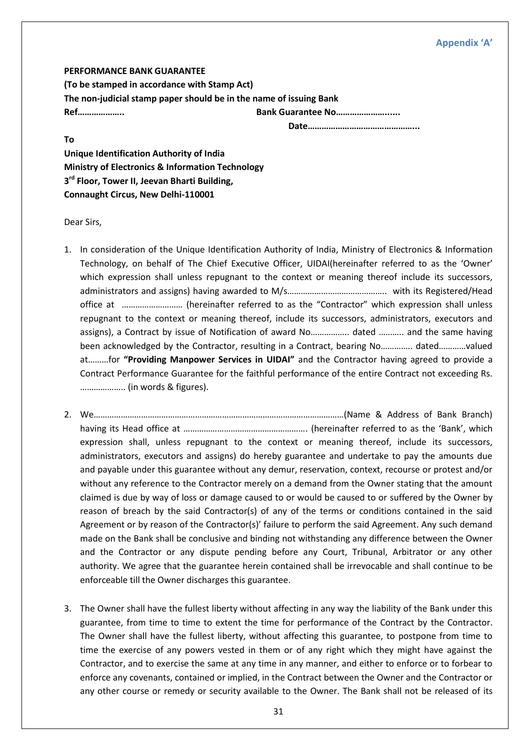#### **Appendix 'A'**

<span id="page-30-0"></span>**PERFORMANCE BANK GUARANTEE (To be stamped in accordance with Stamp Act) The non-judicial stamp paper should be in the name of issuing Bank Ref……………….. Bank Guarantee No…………………......**

**Date………………………………………...**

**To Unique Identification Authority of India Ministry of Electronics & Information Technology 3 rd Floor, Tower II, Jeevan Bharti Building, Connaught Circus, New Delhi-110001**

Dear Sirs,

- 1. In consideration of the Unique Identification Authority of India, Ministry of Electronics & Information Technology, on behalf of The Chief Executive Officer, UIDAI(hereinafter referred to as the 'Owner' which expression shall unless repugnant to the context or meaning thereof include its successors, administrators and assigns) having awarded to M/s…………………………………….. with its Registered/Head office at ……………………… (hereinafter referred to as the "Contractor" which expression shall unless repugnant to the context or meaning thereof, include its successors, administrators, executors and assigns), a Contract by issue of Notification of award No…………….. dated ……….. and the same having been acknowledged by the Contractor, resulting in a Contract, bearing No………….. dated…………valued at………for **"Providing Manpower Services in UIDAI"** and the Contractor having agreed to provide a Contract Performance Guarantee for the faithful performance of the entire Contract not exceeding Rs. ……………….. (in words & figures).
- 2. We…………………………………………………………………………………………………(Name & Address of Bank Branch) having its Head office at ………………………………………………. (hereinafter referred to as the 'Bank', which expression shall, unless repugnant to the context or meaning thereof, include its successors, administrators, executors and assigns) do hereby guarantee and undertake to pay the amounts due and payable under this guarantee without any demur, reservation, context, recourse or protest and/or without any reference to the Contractor merely on a demand from the Owner stating that the amount claimed is due by way of loss or damage caused to or would be caused to or suffered by the Owner by reason of breach by the said Contractor(s) of any of the terms or conditions contained in the said Agreement or by reason of the Contractor(s)' failure to perform the said Agreement. Any such demand made on the Bank shall be conclusive and binding not withstanding any difference between the Owner and the Contractor or any dispute pending before any Court, Tribunal, Arbitrator or any other authority. We agree that the guarantee herein contained shall be irrevocable and shall continue to be enforceable till the Owner discharges this guarantee.
- 3. The Owner shall have the fullest liberty without affecting in any way the liability of the Bank under this guarantee, from time to time to extent the time for performance of the Contract by the Contractor. The Owner shall have the fullest liberty, without affecting this guarantee, to postpone from time to time the exercise of any powers vested in them or of any right which they might have against the Contractor, and to exercise the same at any time in any manner, and either to enforce or to forbear to enforce any covenants, contained or implied, in the Contract between the Owner and the Contractor or any other course or remedy or security available to the Owner. The Bank shall not be released of its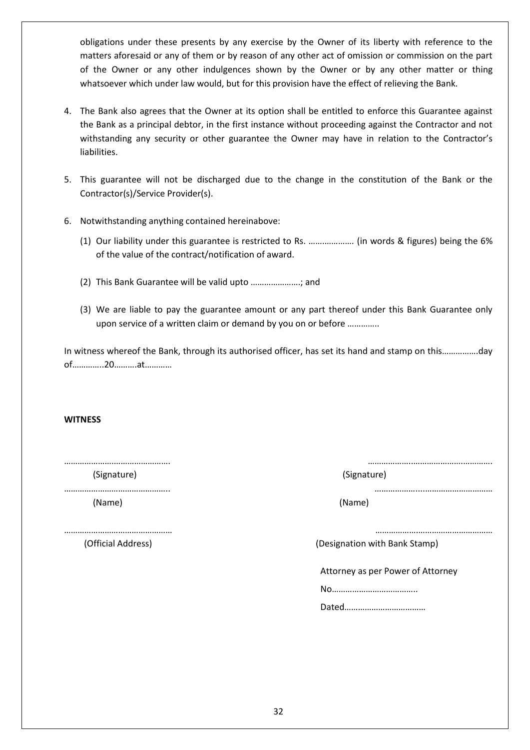obligations under these presents by any exercise by the Owner of its liberty with reference to the matters aforesaid or any of them or by reason of any other act of omission or commission on the part of the Owner or any other indulgences shown by the Owner or by any other matter or thing whatsoever which under law would, but for this provision have the effect of relieving the Bank.

- 4. The Bank also agrees that the Owner at its option shall be entitled to enforce this Guarantee against the Bank as a principal debtor, in the first instance without proceeding against the Contractor and not withstanding any security or other guarantee the Owner may have in relation to the Contractor's liabilities.
- 5. This guarantee will not be discharged due to the change in the constitution of the Bank or the Contractor(s)/Service Provider(s).
- 6. Notwithstanding anything contained hereinabove:
	- (1) Our liability under this guarantee is restricted to Rs. …….…………. (in words & figures) being the 6% of the value of the contract/notification of award.
	- (2) This Bank Guarantee will be valid upto ………………….; and
	- (3) We are liable to pay the guarantee amount or any part thereof under this Bank Guarantee only upon service of a written claim or demand by you on or before …………..

In witness whereof the Bank, through its authorised officer, has set its hand and stamp on this…………….day of…………..20……….at…………

#### **WITNESS**

(Signature) (Signature)

……………………………………….. ………………....………………………… (Name) (Name)

………………………………………… ……………….…………………………… (Official Address) (Designation with Bank Stamp)

………………….……………………. ………………..………………….………….

Attorney as per Power of Attorney

No………………………………..

Dated………………………………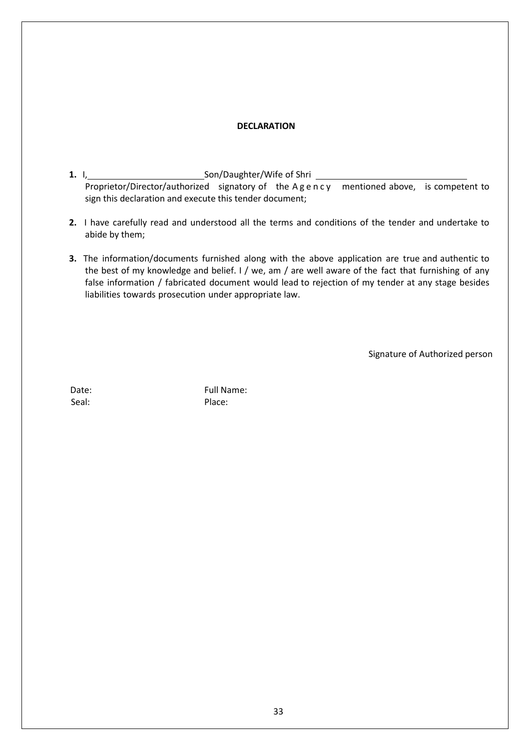#### **DECLARATION**

- **1.** I, Son/Daughter/Wife of Shri Proprietor/Director/authorized signatory of the A g e n c y mentioned above, is competent to sign this declaration and execute this tender document;
- **2.** I have carefully read and understood all the terms and conditions of the tender and undertake to abide by them;
- **3.** The information/documents furnished along with the above application are true and authentic to the best of my knowledge and belief. I / we, am / are well aware of the fact that furnishing of any false information / fabricated document would lead to rejection of my tender at any stage besides liabilities towards prosecution under appropriate law.

Signature of Authorized person

Seal: Place:

Date: Full Name: